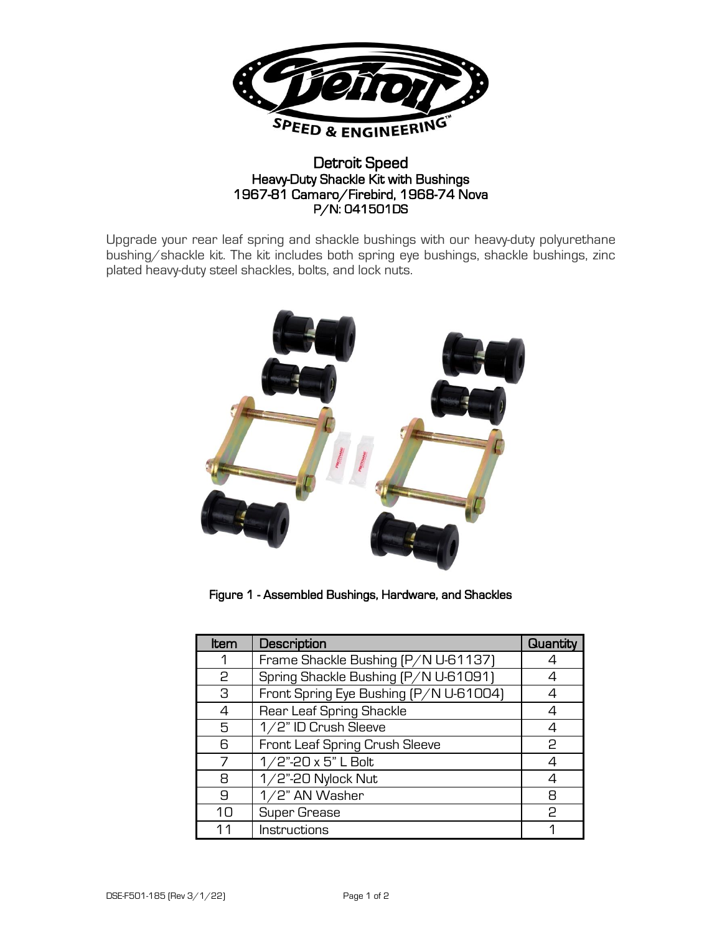

## Detroit Speed Heavy-Duty Shackle Kit with Bushings 1967-81 Camaro/Firebird, 1968-74 Nova P/N: 041501DS

Upgrade your rear leaf spring and shackle bushings with our heavy-duty polyurethane bushing/shackle kit. The kit includes both spring eye bushings, shackle bushings, zinc plated heavy-duty steel shackles, bolts, and lock nuts.



Figure 1 - Assembled Bushings, Hardware, and Shackles

| Item | Description                            | Quantity |
|------|----------------------------------------|----------|
|      | Frame Shackle Bushing (P/N U-61137)    |          |
| 2    | Spring Shackle Bushing (P/N U-61091)   |          |
| З    | Front Spring Eye Bushing (P/N U-61004) |          |
| 4    | Rear Leaf Spring Shackle               | 4        |
| 5    | 1/2" ID Crush Sleeve                   | 4        |
| 6    | Front Leaf Spring Crush Sleeve         | 2        |
|      | $1/2$ "-20 x 5" L Bolt                 | 4        |
| 8    | 1/2"-20 Nylock Nut                     | 4        |
| 9    | 1/2" AN Washer                         | 8        |
| 10   | <b>Super Grease</b>                    | 2        |
| 11   | Instructions                           |          |